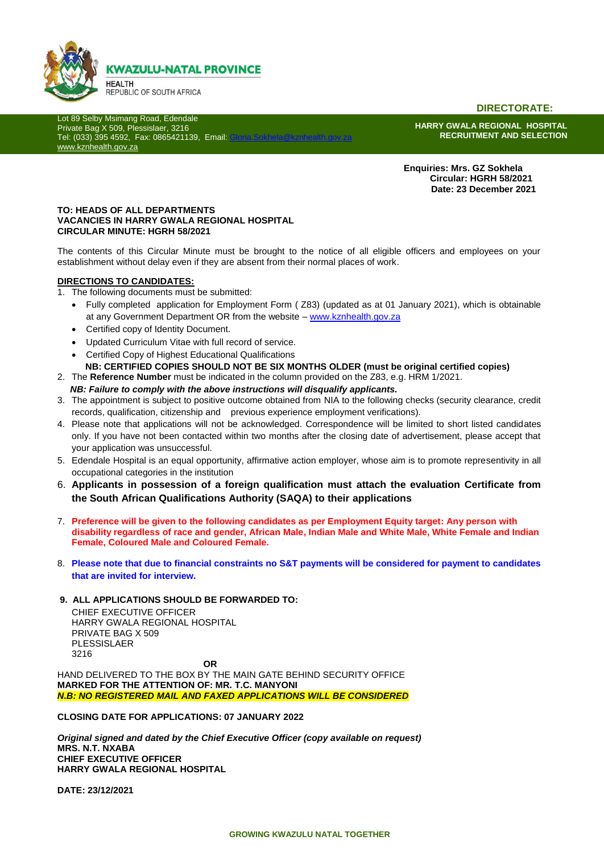

**DIRECTORATE:**

Lot 89 Selby Msimang Road, Edendale Private Bag X 509, Plessislaer, 3216 Tel: (033) 395 4592, Fax: 0865421139, Email: [www.kznhealth.gov.za](http://www.kznhealth.gov.za/)

**HARRY GWALA REGIONAL HOSPITAL RECRUITMENT AND SELECTION**

 **Enquiries: Mrs. GZ Sokhela Circular: HGRH 58/2021 Date: 23 December 2021**

#### **TO: HEADS OF ALL DEPARTMENTS VACANCIES IN HARRY GWALA REGIONAL HOSPITAL CIRCULAR MINUTE: HGRH 58/2021**

The contents of this Circular Minute must be brought to the notice of all eligible officers and employees on your establishment without delay even if they are absent from their normal places of work.

#### **DIRECTIONS TO CANDIDATES:**

- 1. The following documents must be submitted:
	- Fully completed application for Employment Form ( Z83) (updated as at 01 January 2021), which is obtainable at any Government Department OR from the website – [www.kznhealth.gov.za](http://www.kznhealth.gov.za/)
	- Certified copy of Identity Document.
	- Updated Curriculum Vitae with full record of service.
	- Certified Copy of Highest Educational Qualifications
	- **NB: CERTIFIED COPIES SHOULD NOT BE SIX MONTHS OLDER (must be original certified copies)**
- 2. The **Reference Number** must be indicated in the column provided on the Z83, e.g. HRM 1/2021.
	- *NB: Failure to comply with the above instructions will disqualify applicants.*
- 3. The appointment is subject to positive outcome obtained from NIA to the following checks (security clearance, credit records, qualification, citizenship and previous experience employment verifications).
- 4. Please note that applications will not be acknowledged. Correspondence will be limited to short listed candidates only. If you have not been contacted within two months after the closing date of advertisement, please accept that your application was unsuccessful.
- 5. Edendale Hospital is an equal opportunity, affirmative action employer, whose aim is to promote representivity in all occupational categories in the institution
- 6. **Applicants in possession of a foreign qualification must attach the evaluation Certificate from the South African Qualifications Authority (SAQA) to their applications**
- 7. **Preference will be given to the following candidates as per Employment Equity target: Any person with disability regardless of race and gender, African Male, Indian Male and White Male, White Female and Indian Female, Coloured Male and Coloured Female.**
- 8. **Please note that due to financial constraints no S&T payments will be considered for payment to candidates that are invited for interview.**
- **9. ALL APPLICATIONS SHOULD BE FORWARDED TO:**

CHIEF EXECUTIVE OFFICER HARRY GWALA REGIONAL HOSPITAL PRIVATE BAG X 509 PLESSISLAER 3216

**OR** HAND DELIVERED TO THE BOX BY THE MAIN GATE BEHIND SECURITY OFFICE **MARKED FOR THE ATTENTION OF: MR. T.C. MANYONI** *N.B: NO REGISTERED MAIL AND FAXED APPLICATIONS WILL BE CONSIDERED*

**CLOSING DATE FOR APPLICATIONS: 07 JANUARY 2022**

*Original signed and dated by the Chief Executive Officer (copy available on request)* **MRS. N.T. NXABA CHIEF EXECUTIVE OFFICER HARRY GWALA REGIONAL HOSPITAL**

**DATE: 23/12/2021**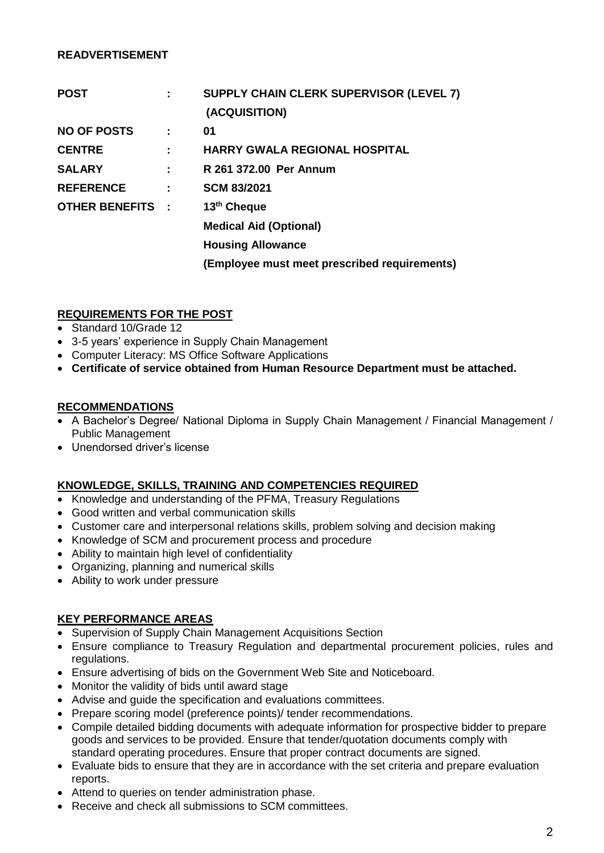#### **READVERTISEMENT**

| <b>POST</b>             |   | <b>SUPPLY CHAIN CLERK SUPERVISOR (LEVEL 7)</b><br>(ACQUISITION) |
|-------------------------|---|-----------------------------------------------------------------|
| <b>NO OF POSTS</b>      | ÷ | 01                                                              |
| <b>CENTRE</b>           | ÷ | <b>HARRY GWALA REGIONAL HOSPITAL</b>                            |
| <b>SALARY</b>           | ÷ | R 261 372.00 Per Annum                                          |
| <b>REFERENCE</b>        | ÷ | <b>SCM 83/2021</b>                                              |
| <b>OTHER BENEFITS :</b> |   | 13 <sup>th</sup> Cheque                                         |
|                         |   | <b>Medical Aid (Optional)</b>                                   |
|                         |   | <b>Housing Allowance</b>                                        |
|                         |   | (Employee must meet prescribed requirements)                    |

### **REQUIREMENTS FOR THE POST**

- Standard 10/Grade 12
- 3-5 years' experience in Supply Chain Management
- Computer Literacy: MS Office Software Applications
- **Certificate of service obtained from Human Resource Department must be attached.**

#### **RECOMMENDATIONS**

- A Bachelor's Degree/ National Diploma in Supply Chain Management / Financial Management / Public Management
- Unendorsed driver's license

### **KNOWLEDGE, SKILLS, TRAINING AND COMPETENCIES REQUIRED**

- Knowledge and understanding of the PFMA, Treasury Regulations
- Good written and verbal communication skills
- Customer care and interpersonal relations skills, problem solving and decision making
- Knowledge of SCM and procurement process and procedure
- Ability to maintain high level of confidentiality
- Organizing, planning and numerical skills
- Ability to work under pressure

### **KEY PERFORMANCE AREAS**

- Supervision of Supply Chain Management Acquisitions Section
- Ensure compliance to Treasury Regulation and departmental procurement policies, rules and regulations.
- Ensure advertising of bids on the Government Web Site and Noticeboard.
- Monitor the validity of bids until award stage
- Advise and guide the specification and evaluations committees.
- Prepare scoring model (preference points)/ tender recommendations.
- Compile detailed bidding documents with adequate information for prospective bidder to prepare goods and services to be provided. Ensure that tender/quotation documents comply with standard operating procedures. Ensure that proper contract documents are signed.
- Evaluate bids to ensure that they are in accordance with the set criteria and prepare evaluation reports.
- Attend to queries on tender administration phase.
- Receive and check all submissions to SCM committees.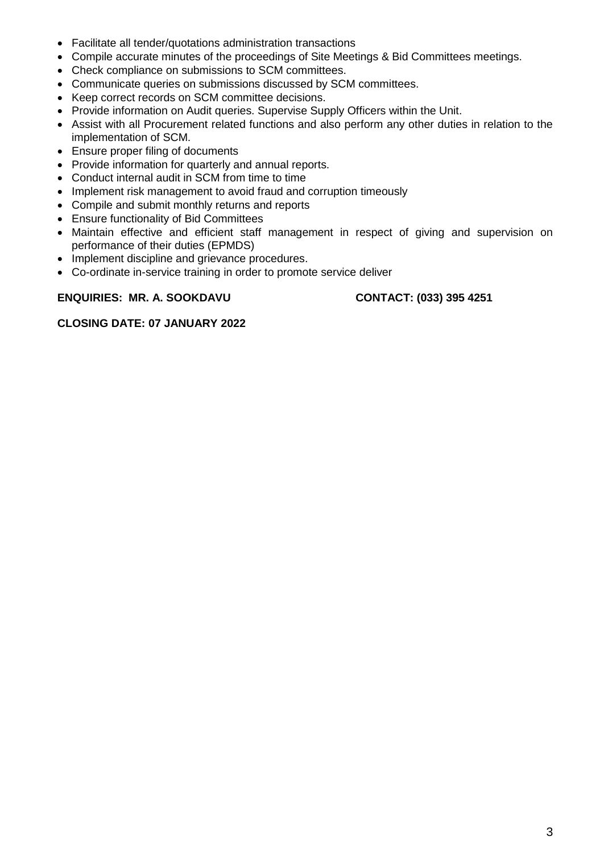- Facilitate all tender/quotations administration transactions
- Compile accurate minutes of the proceedings of Site Meetings & Bid Committees meetings.
- Check compliance on submissions to SCM committees.
- Communicate queries on submissions discussed by SCM committees.
- Keep correct records on SCM committee decisions.
- Provide information on Audit queries. Supervise Supply Officers within the Unit.
- Assist with all Procurement related functions and also perform any other duties in relation to the implementation of SCM.
- Ensure proper filing of documents
- Provide information for quarterly and annual reports.
- Conduct internal audit in SCM from time to time
- Implement risk management to avoid fraud and corruption timeously
- Compile and submit monthly returns and reports
- Ensure functionality of Bid Committees
- Maintain effective and efficient staff management in respect of giving and supervision on performance of their duties (EPMDS)
- Implement discipline and grievance procedures.
- Co-ordinate in-service training in order to promote service deliver

#### **ENQUIRIES: MR. A. SOOKDAVU CONTACT: (033) 395 4251**

**CLOSING DATE: 07 JANUARY 2022**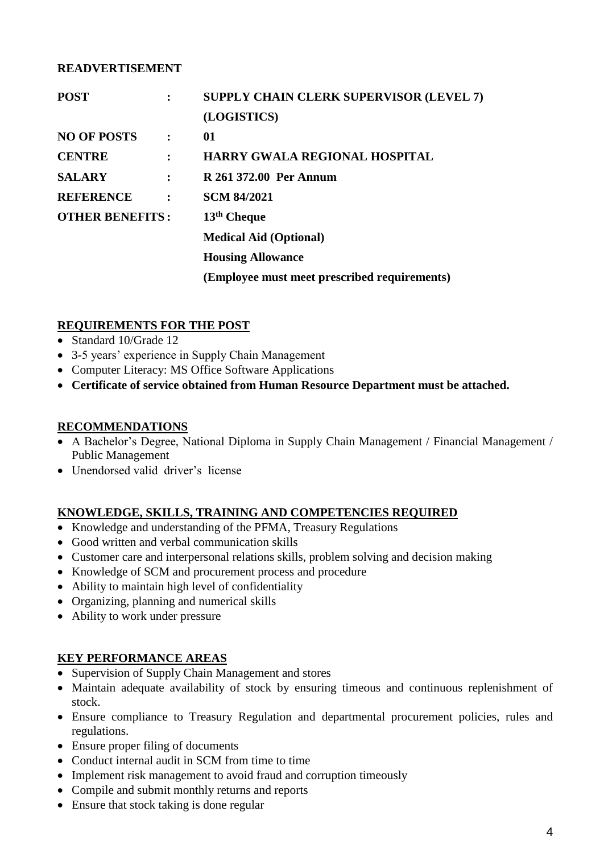## **READVERTISEMENT**

| <b>POST</b>            |                | <b>SUPPLY CHAIN CLERK SUPERVISOR (LEVEL 7)</b> |
|------------------------|----------------|------------------------------------------------|
|                        |                | (LOGISTICS)                                    |
| <b>NO OF POSTS</b>     | $\ddot{\cdot}$ | 01                                             |
| <b>CENTRE</b>          | $\ddot{\cdot}$ | <b>HARRY GWALA REGIONAL HOSPITAL</b>           |
| <b>SALARY</b>          | $\ddot{\cdot}$ | R 261 372.00 Per Annum                         |
| <b>REFERENCE</b>       | $\ddot{\cdot}$ | <b>SCM 84/2021</b>                             |
| <b>OTHER BENEFITS:</b> |                | 13 <sup>th</sup> Cheque                        |
|                        |                | <b>Medical Aid (Optional)</b>                  |
|                        |                | <b>Housing Allowance</b>                       |
|                        |                | (Employee must meet prescribed requirements)   |

# **REQUIREMENTS FOR THE POST**

- Standard 10/Grade 12
- 3-5 years' experience in Supply Chain Management
- Computer Literacy: MS Office Software Applications
- **Certificate of service obtained from Human Resource Department must be attached.**

# **RECOMMENDATIONS**

- A Bachelor's Degree, National Diploma in Supply Chain Management / Financial Management / Public Management
- Unendorsed valid driver's license

# **KNOWLEDGE, SKILLS, TRAINING AND COMPETENCIES REQUIRED**

- Knowledge and understanding of the PFMA, Treasury Regulations
- Good written and verbal communication skills
- Customer care and interpersonal relations skills, problem solving and decision making
- Knowledge of SCM and procurement process and procedure
- Ability to maintain high level of confidentiality
- Organizing, planning and numerical skills
- Ability to work under pressure

### **KEY PERFORMANCE AREAS**

- Supervision of Supply Chain Management and stores
- Maintain adequate availability of stock by ensuring timeous and continuous replenishment of stock.
- Ensure compliance to Treasury Regulation and departmental procurement policies, rules and regulations.
- Ensure proper filing of documents
- Conduct internal audit in SCM from time to time
- Implement risk management to avoid fraud and corruption timeously
- Compile and submit monthly returns and reports
- Ensure that stock taking is done regular